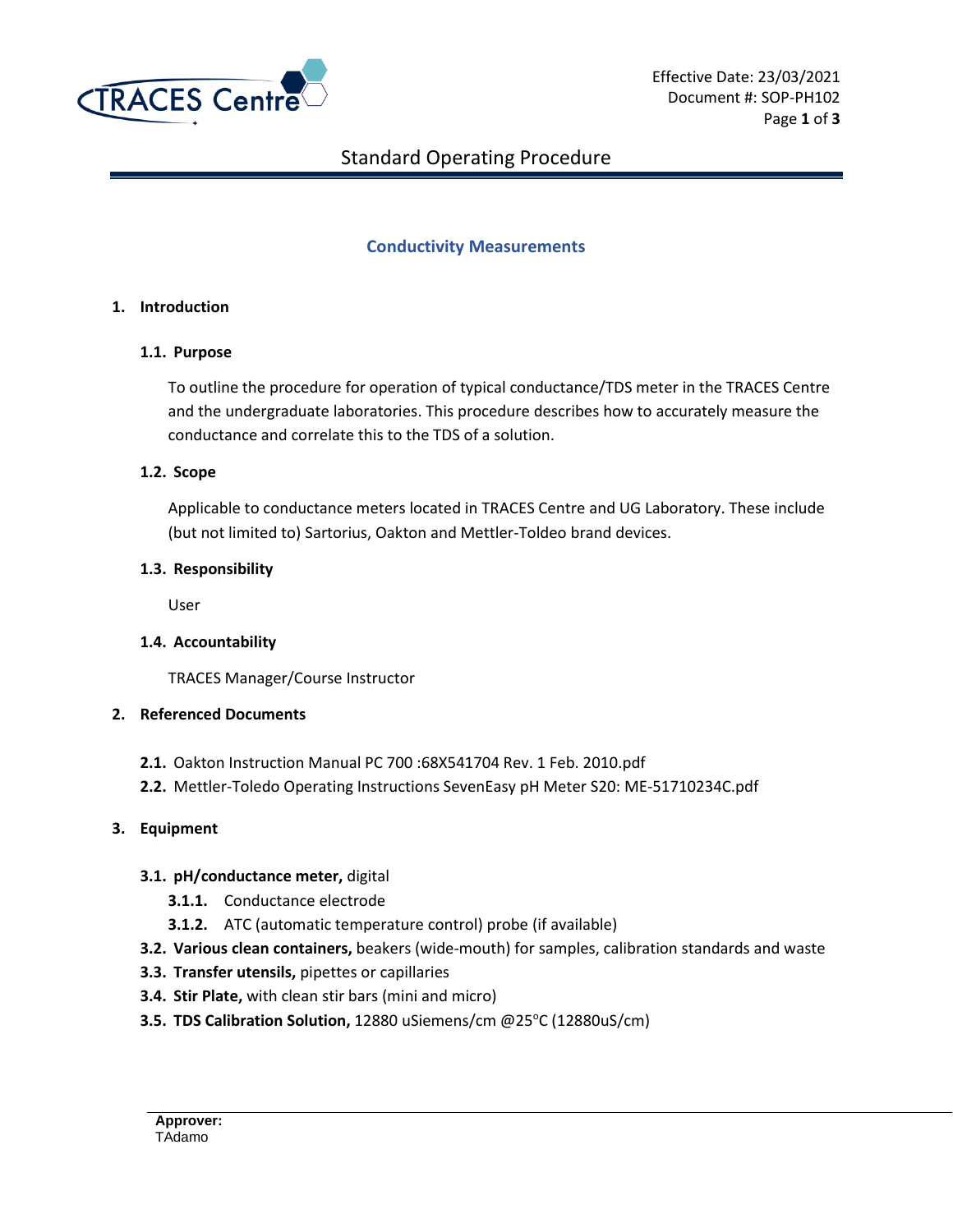

# Standard Operating Procedure

## **Conductivity Measurements**

### **1. Introduction**

#### **1.1. Purpose**

To outline the procedure for operation of typical conductance/TDS meter in the TRACES Centre and the undergraduate laboratories. This procedure describes how to accurately measure the conductance and correlate this to the TDS of a solution.

#### **1.2. Scope**

Applicable to conductance meters located in TRACES Centre and UG Laboratory. These include (but not limited to) Sartorius, Oakton and Mettler-Toldeo brand devices.

#### **1.3. Responsibility**

User

### **1.4. Accountability**

TRACES Manager/Course Instructor

### **2. Referenced Documents**

- **2.1.** Oakton Instruction Manual PC 700 :68X541704 Rev. 1 Feb. 2010.pdf
- **2.2.** Mettler-Toledo Operating Instructions SevenEasy pH Meter S20: ME-51710234C.pdf

### **3. Equipment**

### **3.1. pH/conductance meter,** digital

- **3.1.1.** Conductance electrode
- **3.1.2.** ATC (automatic temperature control) probe (if available)
- **3.2. Various clean containers,** beakers (wide-mouth) for samples, calibration standards and waste
- **3.3. Transfer utensils,** pipettes or capillaries
- **3.4. Stir Plate,** with clean stir bars (mini and micro)
- **3.5. TDS Calibration Solution,** 12880 uSiemens/cm @25°C (12880uS/cm)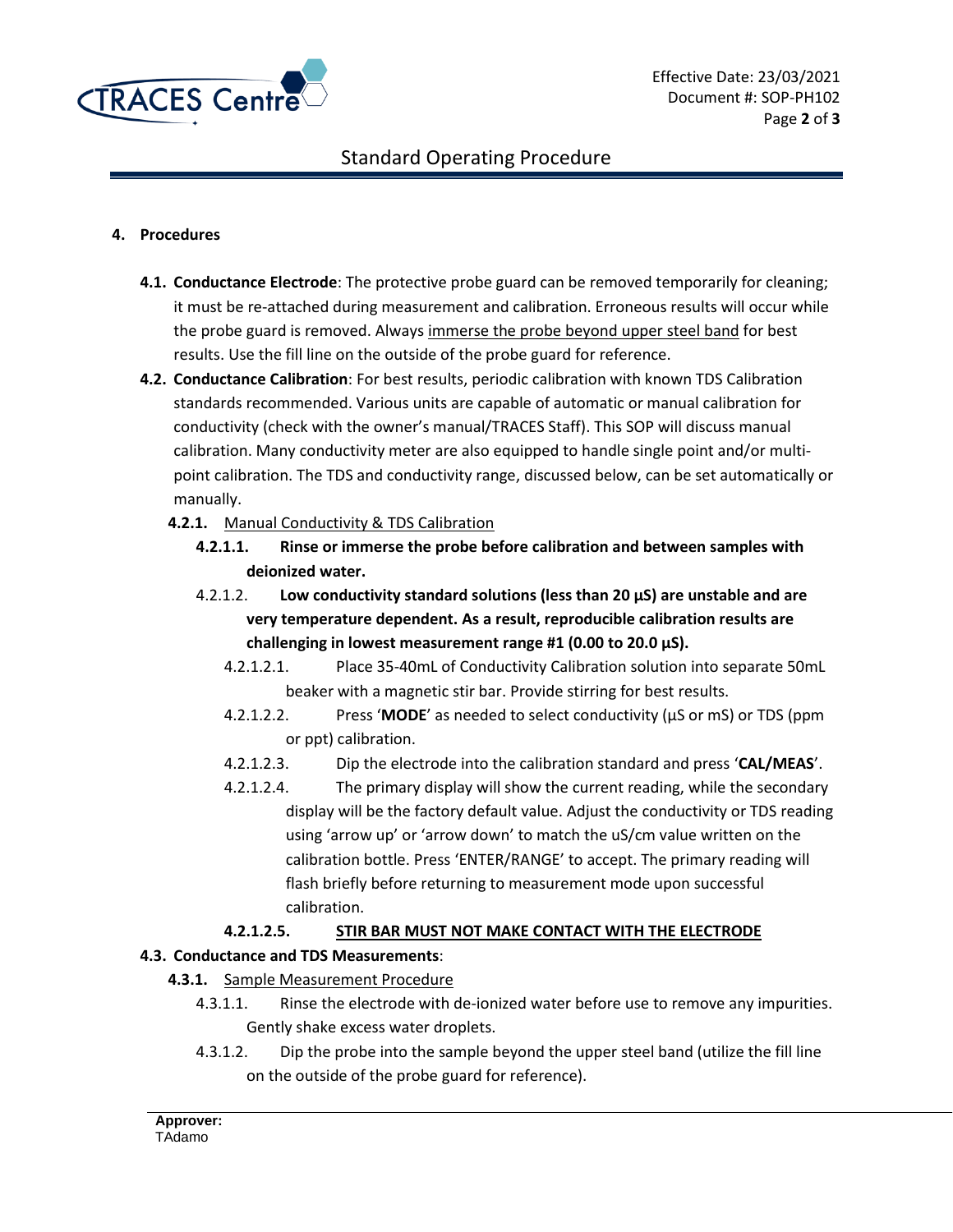

# Standard Operating Procedure

### **4. Procedures**

- **4.1. Conductance Electrode**: The protective probe guard can be removed temporarily for cleaning; it must be re-attached during measurement and calibration. Erroneous results will occur while the probe guard is removed. Always immerse the probe beyond upper steel band for best results. Use the fill line on the outside of the probe guard for reference.
- **4.2. Conductance Calibration**: For best results, periodic calibration with known TDS Calibration standards recommended. Various units are capable of automatic or manual calibration for conductivity (check with the owner's manual/TRACES Staff). This SOP will discuss manual calibration. Many conductivity meter are also equipped to handle single point and/or multipoint calibration. The TDS and conductivity range, discussed below, can be set automatically or manually.
	- **4.2.1.** Manual Conductivity & TDS Calibration
		- **4.2.1.1. Rinse or immerse the probe before calibration and between samples with deionized water.**
		- 4.2.1.2. **Low conductivity standard solutions (less than 20 μS) are unstable and are very temperature dependent. As a result, reproducible calibration results are challenging in lowest measurement range #1 (0.00 to 20.0 μS).**
			- 4.2.1.2.1. Place 35-40mL of Conductivity Calibration solution into separate 50mL beaker with a magnetic stir bar. Provide stirring for best results.
			- 4.2.1.2.2. Press '**MODE**' as needed to select conductivity (μS or mS) or TDS (ppm or ppt) calibration.
			- 4.2.1.2.3. Dip the electrode into the calibration standard and press '**CAL/MEAS**'.
			- 4.2.1.2.4. The primary display will show the current reading, while the secondary display will be the factory default value. Adjust the conductivity or TDS reading using 'arrow up' or 'arrow down' to match the uS/cm value written on the calibration bottle. Press 'ENTER/RANGE' to accept. The primary reading will flash briefly before returning to measurement mode upon successful calibration.

### **4.2.1.2.5. STIR BAR MUST NOT MAKE CONTACT WITH THE ELECTRODE**

### **4.3. Conductance and TDS Measurements**:

- **4.3.1.** Sample Measurement Procedure
	- 4.3.1.1. Rinse the electrode with de-ionized water before use to remove any impurities. Gently shake excess water droplets.
	- 4.3.1.2. Dip the probe into the sample beyond the upper steel band (utilize the fill line on the outside of the probe guard for reference).